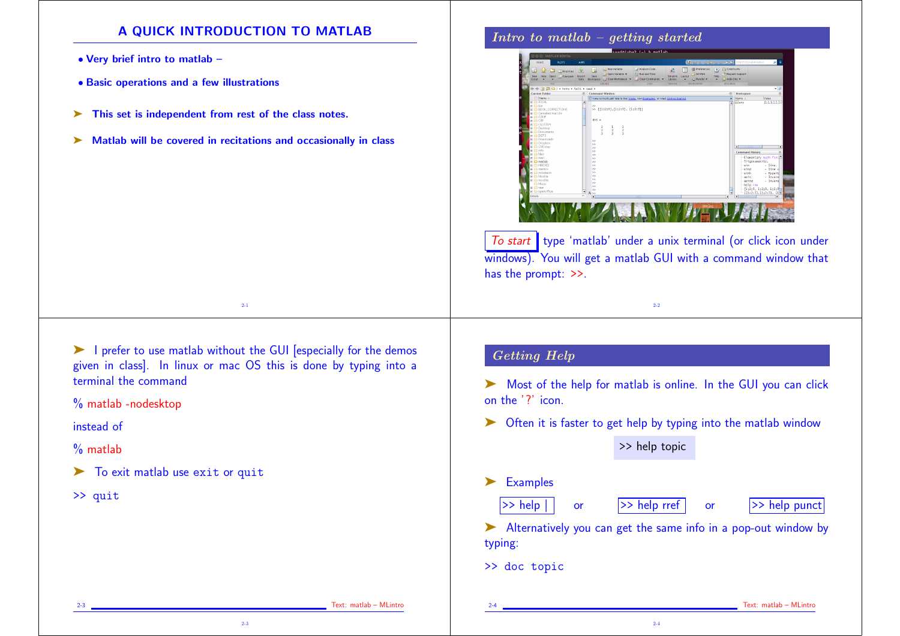## A QUICK INTRODUCTION TO MATLAB

- Very brief intro to matlab –
- Basic operations and a few illustrations
- ➤ This set is independent from rest of the class notes.
- ➤ Matlab will be covered in recitations and occasionally in class

Intro to matlab – getting started



To start type 'matlab' under a unix terminal (or click icon under windows). You will get a matlab GUI with a command window that has the prompt: >>.

2-2

➤ I prefer to use matlab without the GUI [especially for the demos given in class]. In linux or mac OS this is done by typing into a terminal the command

2-3

2-1

% matlab -nodesktop

instead of

 $\%$  matlab

▶ To exit matlab use exit or quit

>> quit

## Getting Help

► Most of the help for matlab is online. In the GUI you can click on the '?' icon.

► Often it is faster to get help by typing into the matlab window

>> help topic

- ➤ Examples
	-

 $\Rightarrow$  help | or  $\Rightarrow$  help rref or  $\Rightarrow$  help punct

➤ Alternatively you can get the same info in a pop-out window by typing:

2-4

>> doc topic

Text: matlab – MLintro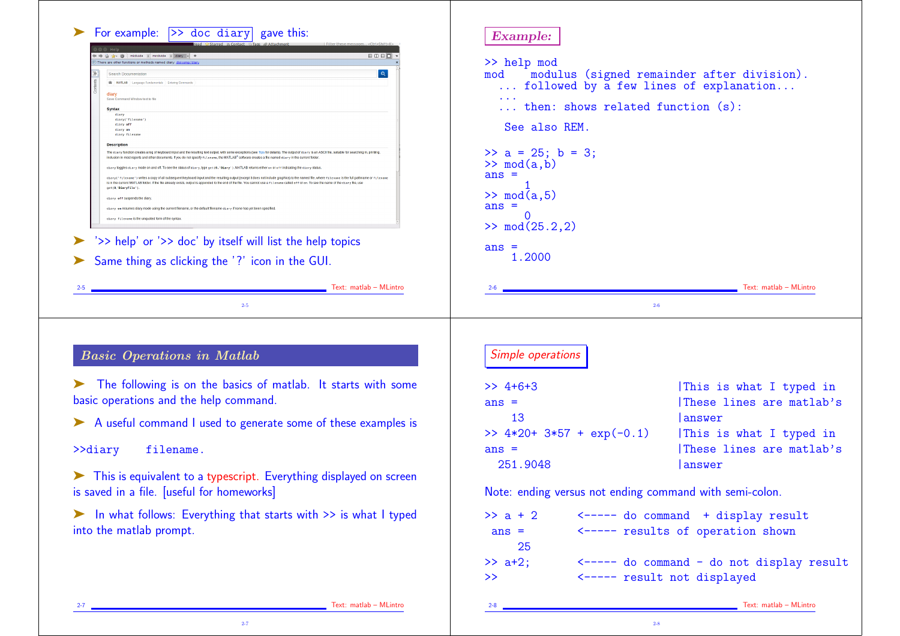| <b>BDBD</b>                                                                                                                                                                                                                                                                                                                                                      |                                                         |                                                                                                            |
|------------------------------------------------------------------------------------------------------------------------------------------------------------------------------------------------------------------------------------------------------------------------------------------------------------------------------------------------------------------|---------------------------------------------------------|------------------------------------------------------------------------------------------------------------|
| There are other functions or methods named diary: distcomp/dia<br>$\boxed{\mathbf{Q}}$<br>Search Documentation                                                                                                                                                                                                                                                   | >> help mod<br>mod                                      |                                                                                                            |
| 會 MATLAB Language Fundamentals Entering Commands                                                                                                                                                                                                                                                                                                                 | followed by a few lines of explanation                  | modulus (signed remainder after division).                                                                 |
| diary<br>Save Command Window text to file                                                                                                                                                                                                                                                                                                                        |                                                         |                                                                                                            |
| <b>Syntax</b><br>diary                                                                                                                                                                                                                                                                                                                                           | then: shows related function (s):                       |                                                                                                            |
| diary("filename"<br>diary off<br>diary on                                                                                                                                                                                                                                                                                                                        | See also REM.                                           |                                                                                                            |
| diary filenar<br><b>Description</b>                                                                                                                                                                                                                                                                                                                              |                                                         |                                                                                                            |
| The diary function creates a log of keyboard input and the resulting text output, with some exceptions (see Tips for details). The output of diary is an ASCII file, suitable for searching in, printing<br>inclusion in most reports and other documents. If you do not specify fillenane, the MATLAB® software creates a file named diary in the current folde | $\gg$ a = 25; b = 3;                                    |                                                                                                            |
| diary toggles diary mode on and off. To see the status of diary, type get (0, 'Diary'). MATLAB returns either on or off indicating the diary status<br>diary ("filenane") writes a copy of all subsequent keyboard input and the resulting output (except it does not include graphics) to the named file, where filenane is the full pathname or filenan        | $\gg$ mod $(a,b)$<br>$ans =$                            |                                                                                                            |
| is in the current MATLAB folder. If the file already exists, output is appended to the end of the file. You cannot use a fill enane called off or on. To see the name of the diary file, use<br>get(0,'DiaryFile')                                                                                                                                               |                                                         |                                                                                                            |
| diary off suspends the diary<br>diary on resumes diary mode using the current filename, or the default filename diary if none has yet been specifie                                                                                                                                                                                                              | $\gg$ mod $(a,5)$<br>$ans =$                            |                                                                                                            |
| diary filename is the unquoted form of the syntax                                                                                                                                                                                                                                                                                                                |                                                         |                                                                                                            |
|                                                                                                                                                                                                                                                                                                                                                                  | $\gg \mod(25.2, 2)$                                     |                                                                                                            |
| '>> help' or '>> doc' by itself will list the help topics                                                                                                                                                                                                                                                                                                        | $ans =$                                                 |                                                                                                            |
| Same thing as clicking the '?' icon in the GUI.                                                                                                                                                                                                                                                                                                                  | 1.2000                                                  |                                                                                                            |
|                                                                                                                                                                                                                                                                                                                                                                  |                                                         |                                                                                                            |
| Text: matlab – MLintro                                                                                                                                                                                                                                                                                                                                           |                                                         | Text: matlab - MLintro                                                                                     |
|                                                                                                                                                                                                                                                                                                                                                                  |                                                         |                                                                                                            |
|                                                                                                                                                                                                                                                                                                                                                                  |                                                         |                                                                                                            |
| $2-5$                                                                                                                                                                                                                                                                                                                                                            | $2-6$                                                   |                                                                                                            |
|                                                                                                                                                                                                                                                                                                                                                                  |                                                         |                                                                                                            |
|                                                                                                                                                                                                                                                                                                                                                                  |                                                         |                                                                                                            |
|                                                                                                                                                                                                                                                                                                                                                                  | Simple operations                                       |                                                                                                            |
|                                                                                                                                                                                                                                                                                                                                                                  |                                                         |                                                                                                            |
| The following is on the basics of matlab. It starts with some                                                                                                                                                                                                                                                                                                    | $>>$ 4+6+3                                              |                                                                                                            |
|                                                                                                                                                                                                                                                                                                                                                                  | $ans =$                                                 |                                                                                                            |
|                                                                                                                                                                                                                                                                                                                                                                  | 13                                                      | lanswer                                                                                                    |
| <b>Basic Operations in Matlab</b><br>basic operations and the help command.<br>A useful command I used to generate some of these examples is                                                                                                                                                                                                                     | >> $4*20+3*57 + exp(-0.1)$                              |                                                                                                            |
| >>diary<br>filename.                                                                                                                                                                                                                                                                                                                                             | $ans =$                                                 |                                                                                                            |
|                                                                                                                                                                                                                                                                                                                                                                  | 251.9048                                                | lanswer                                                                                                    |
|                                                                                                                                                                                                                                                                                                                                                                  |                                                         |                                                                                                            |
|                                                                                                                                                                                                                                                                                                                                                                  | Note: ending versus not ending command with semi-colon. |                                                                                                            |
|                                                                                                                                                                                                                                                                                                                                                                  |                                                         | This is what I typed in<br>These lines are matlab's<br>This is what I typed in<br>These lines are matlab's |
| This is equivalent to a typescript. Everything displayed on screen<br>is saved in a file. [useful for homeworks]<br>In what follows: Everything that starts with >> is what I typed                                                                                                                                                                              | $>> a + 2$                                              | <----- do command + display result                                                                         |
|                                                                                                                                                                                                                                                                                                                                                                  | $ans =$                                                 | <----- results of operation shown                                                                          |
| into the matlab prompt.                                                                                                                                                                                                                                                                                                                                          | 25                                                      |                                                                                                            |
|                                                                                                                                                                                                                                                                                                                                                                  | $\gg$ a+2;                                              | <----- do command - do not display result                                                                  |

2-7 Text: matlab – MLintro

2-7

2-8 Text: matlab – MLintro

2-8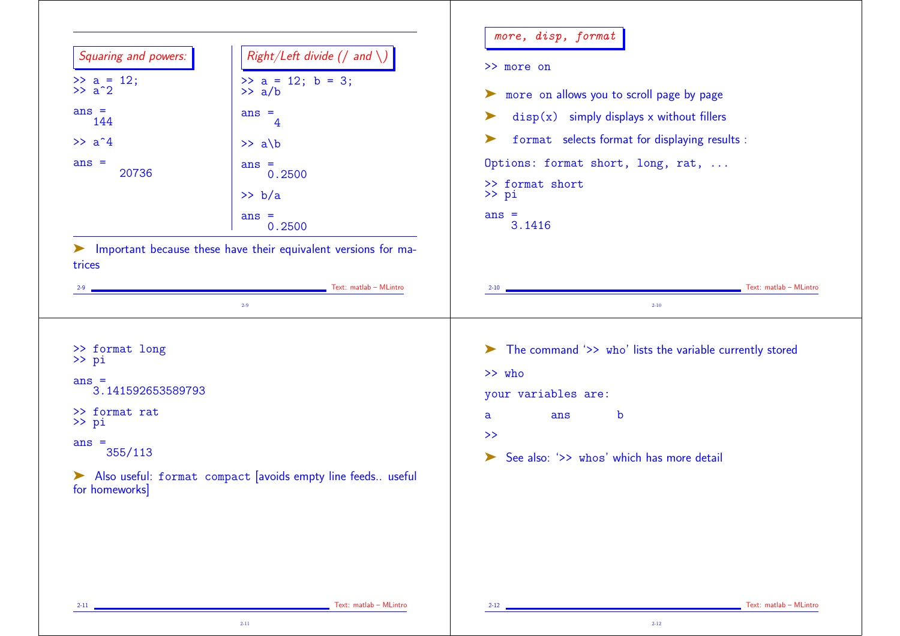| Squaring and powers:                  | Right/Left divide (/ and $\setminus$ )                     | >> more on                                                                                    |
|---------------------------------------|------------------------------------------------------------|-----------------------------------------------------------------------------------------------|
| $\gg$ a = 12;<br>$\gg$ a <sup>2</sup> | $> a = 12; b = 3;$<br>$\gg$ a/b                            |                                                                                               |
| $ans =$                               | $ans =$                                                    | more on allows you to scroll page by page<br>➤<br>$disp(x)$ simply displays x without fillers |
| 144                                   | 4                                                          | format selects format for displaying results :<br>➤                                           |
| $\gg$ a <sup>2</sup> 4                | $\gg$ a\b                                                  |                                                                                               |
| $ans =$<br>20736                      | $ans =$<br>0.2500                                          | Options: format short, long, rat,                                                             |
|                                       | >> b/a                                                     | >> format short<br>$\gg$ pi                                                                   |
|                                       | $ans =$<br>0.2500                                          | $ans =$<br>3.1416                                                                             |
|                                       | Text: matlab - MLintro<br>$2 - 9$                          | Text: matlab - MLintro<br>$2 - 10$<br>$2 - 10$                                                |
| >> format long                        |                                                            | The command '>> who' lists the variable currently stored                                      |
| >> pi                                 |                                                            | >> who                                                                                        |
| $ans =$<br>3.141592653589793          |                                                            | your variables are:                                                                           |
| >> format rat<br>$\gg$ pi             |                                                            | b<br>ans<br>$\mathsf{a}$                                                                      |
| $ans =$                               |                                                            | $\rightarrow$                                                                                 |
| 355/113                               |                                                            | See also: '>> whos' which has more detail<br>$\blacktriangleright$                            |
| for homeworks]                        | Also useful: format compact avoids empty line feeds useful |                                                                                               |
|                                       |                                                            |                                                                                               |
|                                       |                                                            |                                                                                               |
|                                       |                                                            |                                                                                               |
|                                       |                                                            |                                                                                               |
|                                       |                                                            |                                                                                               |

2-12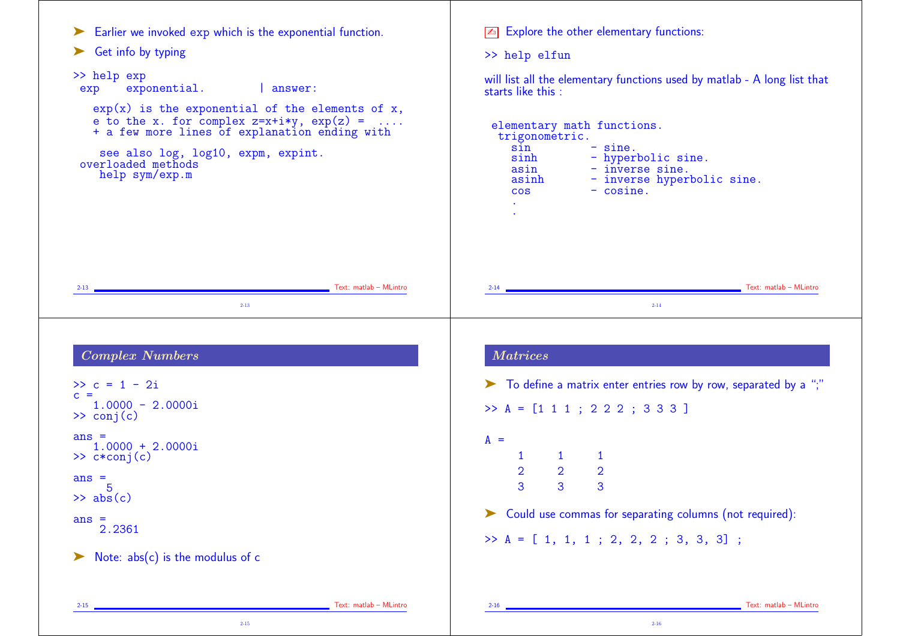```
► Earlier we invoked exp which is the exponential function.
► Get info by typing
>> help exp
 exp exponential. | answer:
    exp(x) is the exponential of the elements of x,
    e to the x. for complex z=x+iy, exp(z) = \ldots+ a few more lines of explanation ending with
     see also log, log10, expm, expint.
 overloaded methods
    help sym/exp.m
2-13 Text: matlab – MLintro
                                2-13
                                                                               \sqrt{2n} Explore the other elementary functions:
                                                                               >> help elfun
                                                                               will list all the elementary functions used by matlab - A long list that
                                                                               starts like this :
                                                                                elementary math functions.
                                                                                 trigonometric.
                                                                                    sin - sine.<br>sinh - hvperl
                                                                                    sinh - hyperbolic sine.<br>asin - inverse sine.
                                                                                    asin - inverse sine.<br>asinh - inverse hyper
                                                                                    asinh - inverse hyperbolic sine.<br>
cos - cosine.
                                                                                                   -cosine.
                                                                                     .
                                                                                     .
                                                                                2-14 Text: matlab – MLintro
                                                                                                               2-14
 Complex Numbers
\gg c = 1 - 2ic =1.0000 - 2.0000i\gg conj(c)
ans =1.0000 + 2.0000i
\gg c*conj(c)
ans =5
\gg abs(c)
ans =2.2361
\triangleright Note: abs(c) is the modulus of c
2-15 Text: matlab – MLintro (2008) 2-15 Text: matlab – MLintro (2008) 2-15 Text: matlab – MLintro (2008) 2-15
                                                                                Matrices
                                                                               ➤ To define a matrix enter entries row by row, separated by a ";"
                                                                               >> A = [1 1 1 ; 2 2 2 ; 3 3 3 ]
                                                                               A =1 1 1
                                                                                     2 2 2
                                                                                     3 3 3
                                                                               ➤ Could use commas for separating columns (not required):
                                                                               \Rightarrow A = [ 1, 1, 1 ; 2, 2, 2 ; 3, 3, 3] ;
                                                                                2-16 Text: matlab – MLintro Contractor Contractor Contractor Contractor Contractor Contractor Contractor Contractor Contractor Contractor Contractor Contractor Contractor Contractor Contractor Contractor Contractor Contrac
```
2-16

2-15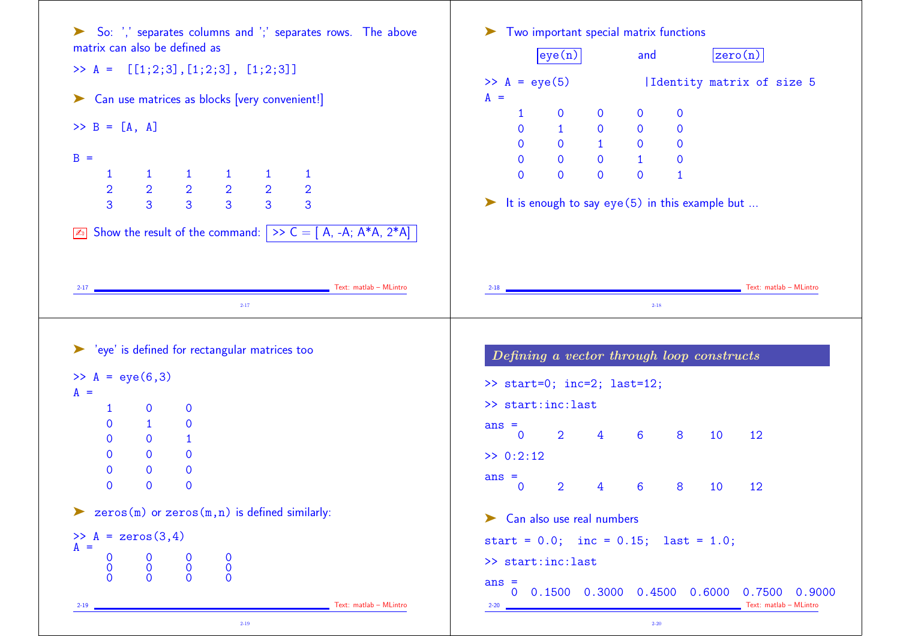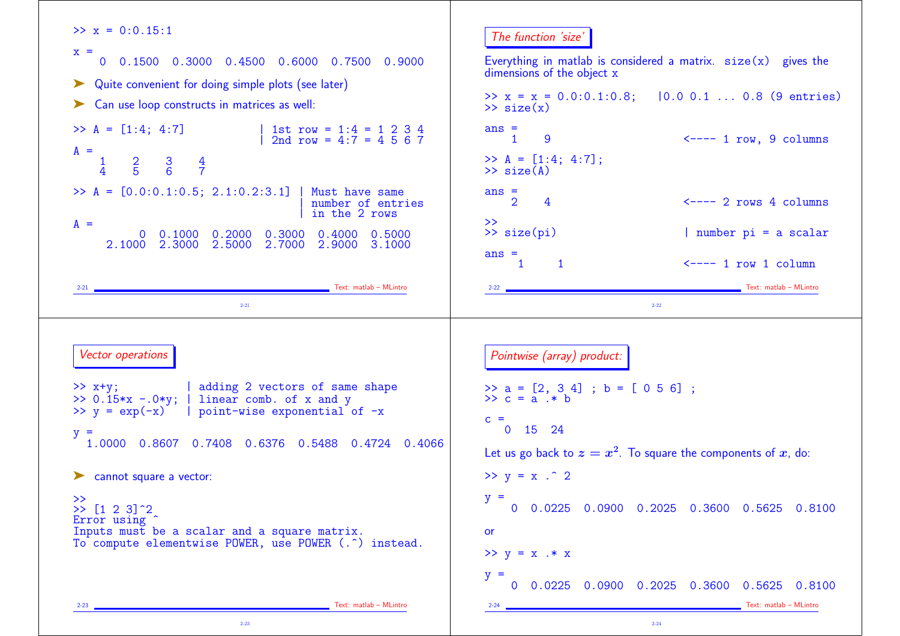| 0 0.1500 0.3000 0.4500 0.6000 0.7500 0.9000<br>dimensions of the object x<br>Quite convenient for doing simple plots (see later)<br>>> $x = x = 0.0:0.1:0.8;$ $ 0.0 0.1  0.8 (9 entries)$<br>Can use loop constructs in matrices as well:<br>$\gg$ size(x)<br>1st row = $1:4 = 1 \ 2 \ 3 \ 4$<br>$ans =$<br>9<br>$\mathbf{1}$<br>2nd row = $4:7 = 4567$<br>$A =$<br>$>> A = [1:4; 4:7];$<br>$\frac{2}{5}$<br>$rac{4}{7}$<br>$\frac{3}{6}$<br>$\overline{4}$<br>$\gg$ size(A)<br>Must have same<br>$ans =$<br>$\overline{2}$<br>4<br>number of entries<br>in the 2 rows<br>$\rightarrow$<br>$A =$<br>>> size(pi)<br>$0$ $0.1000$ $0.2000$ $0.3000$<br>0.4000<br>0.5000<br>2.1000 2.3000 2.5000<br>3.1000<br>2.7000<br>2.9000<br>$ans =$<br>$\mathbf{1}$<br>$\leftarrow \leftarrow -1$ row 1 column<br>1<br>Text: matlab - MLintro<br>Text: matlab - MLintro<br>$2 - 21$<br>$2 - 21$<br>$2 - 22$<br>Vector operations<br>Pointwise (array) product:<br>  adding 2 vectors of same shape<br>>> a = [2, 3 4] ; b = [ 0 5 6] ;<br>>> c = a .* b<br>linear comb. of x and y<br>$C =$<br>$0$ 15 24<br>$\equiv$<br>1.0000 0.8607 0.7408 0.6376 0.5488 0.4724 0.4066<br>Let us go back to $z = x^2$ . To square the components of x, do:<br>$>> y = x .^2 2$<br>$y =$<br>Error using<br>or<br>To compute elementwise POWER, use POWER (. <sup>o</sup> ) instead.<br>$>> y = x .* x$<br>$y =$<br>Text: matlab - MLintro<br>Text: matlab - MLintro<br>$2-23$<br>$2-24$ | $>> x = 0:0.15:1$                                                                  | The function 'size'                                              |
|-------------------------------------------------------------------------------------------------------------------------------------------------------------------------------------------------------------------------------------------------------------------------------------------------------------------------------------------------------------------------------------------------------------------------------------------------------------------------------------------------------------------------------------------------------------------------------------------------------------------------------------------------------------------------------------------------------------------------------------------------------------------------------------------------------------------------------------------------------------------------------------------------------------------------------------------------------------------------------------------------------------------------------------------------------------------------------------------------------------------------------------------------------------------------------------------------------------------------------------------------------------------------------------------------------------------------------------------------------------------------------------------------------------------------------------------------------------|------------------------------------------------------------------------------------|------------------------------------------------------------------|
|                                                                                                                                                                                                                                                                                                                                                                                                                                                                                                                                                                                                                                                                                                                                                                                                                                                                                                                                                                                                                                                                                                                                                                                                                                                                                                                                                                                                                                                             | $X =$                                                                              | Everything in matlab is considered a matrix. $size(x)$ gives the |
|                                                                                                                                                                                                                                                                                                                                                                                                                                                                                                                                                                                                                                                                                                                                                                                                                                                                                                                                                                                                                                                                                                                                                                                                                                                                                                                                                                                                                                                             |                                                                                    |                                                                  |
|                                                                                                                                                                                                                                                                                                                                                                                                                                                                                                                                                                                                                                                                                                                                                                                                                                                                                                                                                                                                                                                                                                                                                                                                                                                                                                                                                                                                                                                             |                                                                                    |                                                                  |
|                                                                                                                                                                                                                                                                                                                                                                                                                                                                                                                                                                                                                                                                                                                                                                                                                                                                                                                                                                                                                                                                                                                                                                                                                                                                                                                                                                                                                                                             | $>> A = [1:4; 4:7]$                                                                | $\leftarrow$ ---- 1 row, 9 columns                               |
|                                                                                                                                                                                                                                                                                                                                                                                                                                                                                                                                                                                                                                                                                                                                                                                                                                                                                                                                                                                                                                                                                                                                                                                                                                                                                                                                                                                                                                                             |                                                                                    |                                                                  |
|                                                                                                                                                                                                                                                                                                                                                                                                                                                                                                                                                                                                                                                                                                                                                                                                                                                                                                                                                                                                                                                                                                                                                                                                                                                                                                                                                                                                                                                             | $\gg A = [0.0:0.1:0.5; 2.1:0.2:3.1]$                                               | $\leftarrow$ ---- 2 rows 4 columns                               |
|                                                                                                                                                                                                                                                                                                                                                                                                                                                                                                                                                                                                                                                                                                                                                                                                                                                                                                                                                                                                                                                                                                                                                                                                                                                                                                                                                                                                                                                             |                                                                                    | number pi = a scalar                                             |
|                                                                                                                                                                                                                                                                                                                                                                                                                                                                                                                                                                                                                                                                                                                                                                                                                                                                                                                                                                                                                                                                                                                                                                                                                                                                                                                                                                                                                                                             |                                                                                    |                                                                  |
|                                                                                                                                                                                                                                                                                                                                                                                                                                                                                                                                                                                                                                                                                                                                                                                                                                                                                                                                                                                                                                                                                                                                                                                                                                                                                                                                                                                                                                                             |                                                                                    |                                                                  |
|                                                                                                                                                                                                                                                                                                                                                                                                                                                                                                                                                                                                                                                                                                                                                                                                                                                                                                                                                                                                                                                                                                                                                                                                                                                                                                                                                                                                                                                             |                                                                                    |                                                                  |
|                                                                                                                                                                                                                                                                                                                                                                                                                                                                                                                                                                                                                                                                                                                                                                                                                                                                                                                                                                                                                                                                                                                                                                                                                                                                                                                                                                                                                                                             | $>> x+y;$<br>$>> 0.15*x - 0*y;$<br>$>> y = exp(-x)$   point-wise exponential of -x |                                                                  |
|                                                                                                                                                                                                                                                                                                                                                                                                                                                                                                                                                                                                                                                                                                                                                                                                                                                                                                                                                                                                                                                                                                                                                                                                                                                                                                                                                                                                                                                             | cannot square a vector:                                                            |                                                                  |
|                                                                                                                                                                                                                                                                                                                                                                                                                                                                                                                                                                                                                                                                                                                                                                                                                                                                                                                                                                                                                                                                                                                                                                                                                                                                                                                                                                                                                                                             | >><br>$\gg$ [1 2 3] $^{\circ}$ 2                                                   | 0 0.0225 0.0900 0.2025 0.3600 0.5625 0.8100                      |
|                                                                                                                                                                                                                                                                                                                                                                                                                                                                                                                                                                                                                                                                                                                                                                                                                                                                                                                                                                                                                                                                                                                                                                                                                                                                                                                                                                                                                                                             | Inputs must be a scalar and a square matrix.                                       |                                                                  |
|                                                                                                                                                                                                                                                                                                                                                                                                                                                                                                                                                                                                                                                                                                                                                                                                                                                                                                                                                                                                                                                                                                                                                                                                                                                                                                                                                                                                                                                             |                                                                                    |                                                                  |
|                                                                                                                                                                                                                                                                                                                                                                                                                                                                                                                                                                                                                                                                                                                                                                                                                                                                                                                                                                                                                                                                                                                                                                                                                                                                                                                                                                                                                                                             |                                                                                    | 0 0.0225 0.0900 0.2025 0.3600 0.5625 0.8100                      |
|                                                                                                                                                                                                                                                                                                                                                                                                                                                                                                                                                                                                                                                                                                                                                                                                                                                                                                                                                                                                                                                                                                                                                                                                                                                                                                                                                                                                                                                             |                                                                                    |                                                                  |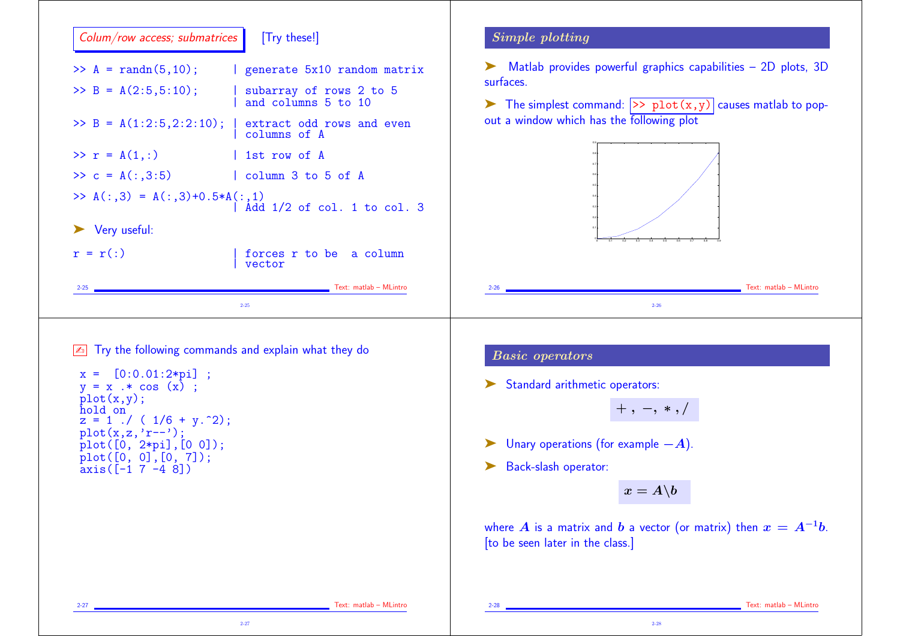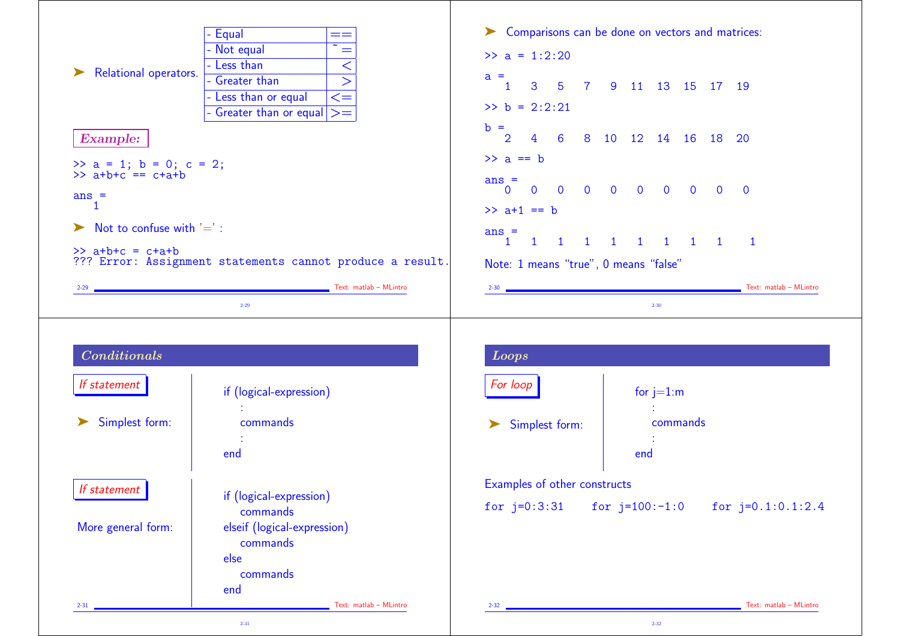|                                              | - Equal<br>$=$ $=$                                                           |                                       | > Comparisons can be done on vectors and matrices: |
|----------------------------------------------|------------------------------------------------------------------------------|---------------------------------------|----------------------------------------------------|
|                                              | $\overline{\gamma_{\frac{1}{m}}}$<br>- Not equal                             | $\gg$ a = 1:2:20                      |                                                    |
| Relational operators.                        | - Less than<br>$\lt$                                                         | $a =$                                 |                                                    |
|                                              | - Greater than<br>$\overline{\phantom{a}}$<br>- Less than or equal<br>$\leq$ | $\mathbf{1}$                          | 3 5 7 9 11 13 15 17 19                             |
|                                              | - Greater than or equal $\vert \rangle =$                                    | $\gg b = 2:2:21$                      |                                                    |
|                                              |                                                                              | $b =$                                 |                                                    |
| <b>Example:</b>                              |                                                                              | $\overline{2}$                        | 4 6 8 10 12 14 16 18 20                            |
| >> a = 1; b = 0; c = 2;<br>>> a+b+c == c+a+b |                                                                              | $\gg$ a == b                          |                                                    |
|                                              |                                                                              | $ans =$                               | $0$ 0 0 0 0 0 0 0 0 0                              |
| $ans =$<br>1.                                |                                                                              |                                       |                                                    |
| Not to confuse with $'=$ :                   |                                                                              | $\gg$ a+1 == b                        |                                                    |
|                                              |                                                                              | $ans =$                               |                                                    |
| $\Rightarrow$ a+b+c = c+a+b                  | ??? Error: Assignment statements cannot produce a result.                    | Note: 1 means "true", 0 means "false" |                                                    |
|                                              | Text: matlab - MLintro                                                       |                                       | Text: matlab - MLintro                             |
|                                              |                                                                              | $2-30$                                |                                                    |
| $2-29$                                       | $2 - 29$                                                                     |                                       | $2 - 30$                                           |
|                                              |                                                                              |                                       |                                                    |
| $\label{1} Conditional$                      |                                                                              | <b>Loops</b>                          |                                                    |
| If statement                                 |                                                                              | For loop                              |                                                    |
|                                              | if (logical-expression)                                                      |                                       | for $j=1:m$                                        |
| Simplest form:                               | commands                                                                     | ➤                                     | $\mathcal{I}^{\mathcal{I}}$<br>commands            |
|                                              | $\sim 10$                                                                    | Simplest form:                        |                                                    |
|                                              | end                                                                          |                                       | end                                                |
|                                              |                                                                              | Examples of other constructs          |                                                    |
| If statement                                 | if (logical-expression)                                                      |                                       |                                                    |
|                                              | commands                                                                     | for $j=0:3:31$                        | for $j=100:-1:0$<br>for $j=0.1:0.1:2.4$            |
| More general form:                           | elseif (logical-expression)                                                  |                                       |                                                    |
|                                              | commands<br>else                                                             |                                       |                                                    |
|                                              | commands                                                                     |                                       |                                                    |
|                                              | end                                                                          |                                       |                                                    |